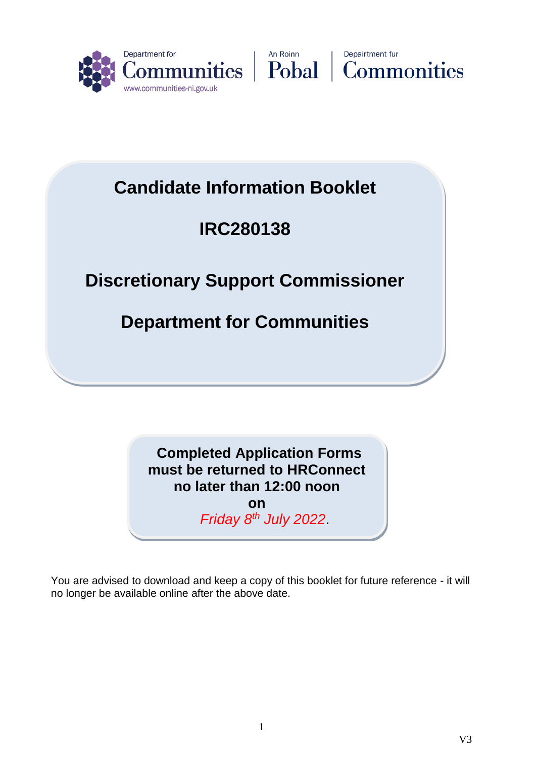





# **Candidate Information Booklet**

# **IRC280138**

# **IRC212798 Discretionary Support Commissioner**

# **Department for Communities**

# **Completed Application Forms must be returned to HRConnect no later than 12:00 noon**

**on**  *Friday 8th July 2022*.

You are advised to download and keep a copy of this booklet for future reference - it will no longer be available online after the above date.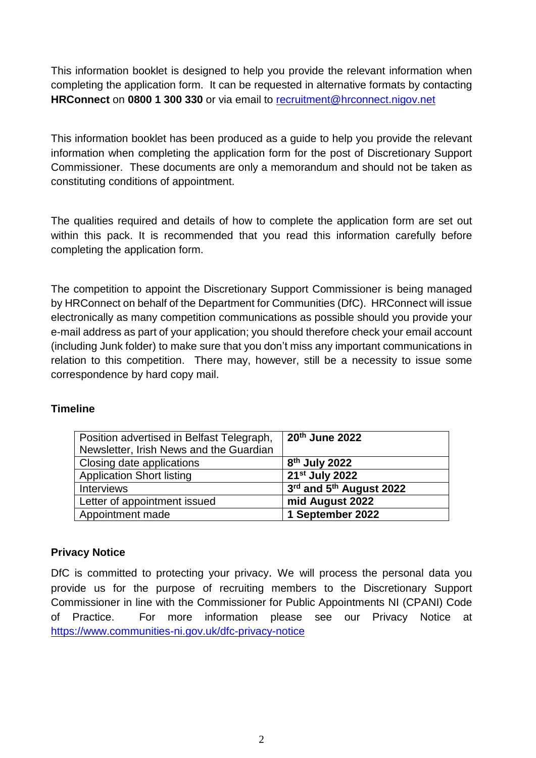This information booklet is designed to help you provide the relevant information when completing the application form. It can be requested in alternative formats by contacting **HRConnect** on **0800 1 300 330** or via email to [recruitment@hrconnect.nigov.net](mailto:recruitment@hrconnect.nigov.net)

This information booklet has been produced as a guide to help you provide the relevant information when completing the application form for the post of Discretionary Support Commissioner. These documents are only a memorandum and should not be taken as constituting conditions of appointment.

The qualities required and details of how to complete the application form are set out within this pack. It is recommended that you read this information carefully before completing the application form.

The competition to appoint the Discretionary Support Commissioner is being managed by HRConnect on behalf of the Department for Communities (DfC). HRConnect will issue electronically as many competition communications as possible should you provide your e-mail address as part of your application; you should therefore check your email account (including Junk folder) to make sure that you don't miss any important communications in relation to this competition. There may, however, still be a necessity to issue some correspondence by hard copy mail.

#### **Timeline**

| Position advertised in Belfast Telegraph, | 20th June 2022             |
|-------------------------------------------|----------------------------|
| Newsletter, Irish News and the Guardian   |                            |
| Closing date applications                 | 8 <sup>th</sup> July 2022  |
| <b>Application Short listing</b>          | 21 <sup>st</sup> July 2022 |
| <b>Interviews</b>                         | 3rd and 5th August 2022    |
| Letter of appointment issued              | mid August 2022            |
| Appointment made                          | 1 September 2022           |

#### **Privacy Notice**

DfC is committed to protecting your privacy. We will process the personal data you provide us for the purpose of recruiting members to the Discretionary Support Commissioner in line with the Commissioner for Public Appointments NI (CPANI) Code of Practice. For more information please see our Privacy Notice at <https://www.communities-ni.gov.uk/dfc-privacy-notice>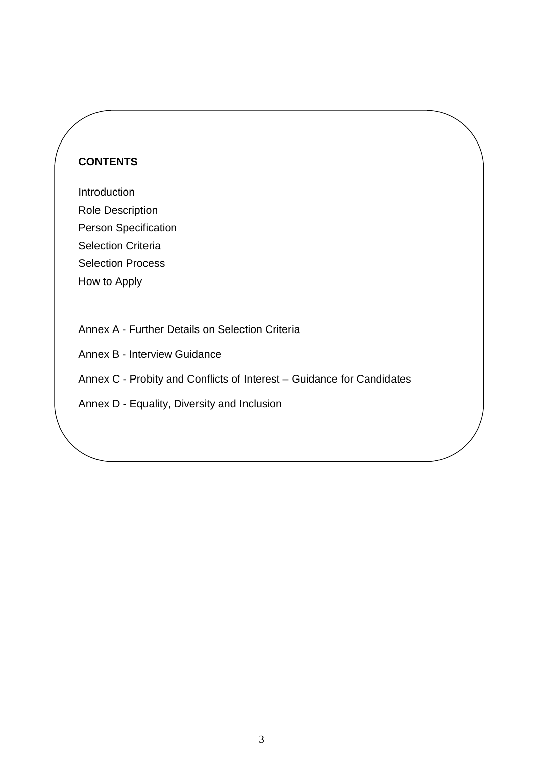# **CONTENTS**

Introduction Role Description Person Specification Selection Criteria Selection Process How to Apply

Annex A - Further Details on Selection Criteria

Annex B - Interview Guidance

Annex C - Probity and Conflicts of Interest – Guidance for Candidates

Annex D - Equality, Diversity and Inclusion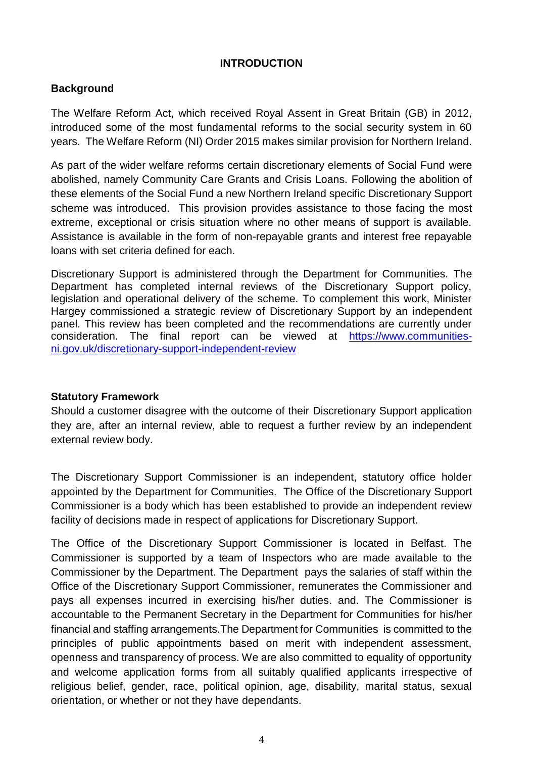#### **INTRODUCTION**

#### **Background**

The Welfare Reform Act, which received Royal Assent in Great Britain (GB) in 2012, introduced some of the most fundamental reforms to the social security system in 60 years. The Welfare Reform (NI) Order 2015 makes similar provision for Northern Ireland.

As part of the wider welfare reforms certain discretionary elements of Social Fund were abolished, namely Community Care Grants and Crisis Loans. Following the abolition of these elements of the Social Fund a new Northern Ireland specific Discretionary Support scheme was introduced. This provision provides assistance to those facing the most extreme, exceptional or crisis situation where no other means of support is available. Assistance is available in the form of non-repayable grants and interest free repayable loans with set criteria defined for each.

Discretionary Support is administered through the Department for Communities. The Department has completed internal reviews of the Discretionary Support policy, legislation and operational delivery of the scheme. To complement this work, Minister Hargey commissioned a strategic review of Discretionary Support by an independent panel. This review has been completed and the recommendations are currently under consideration. The final report can be viewed at [https://www.communities](https://www.communities-ni.gov.uk/discretionary-support-independent-review)[ni.gov.uk/discretionary-support-independent-review](https://www.communities-ni.gov.uk/discretionary-support-independent-review)

#### **Statutory Framework**

Should a customer disagree with the outcome of their Discretionary Support application they are, after an internal review, able to request a further review by an independent external review body.

The Discretionary Support Commissioner is an independent, statutory office holder appointed by the Department for Communities. The Office of the Discretionary Support Commissioner is a body which has been established to provide an independent review facility of decisions made in respect of applications for Discretionary Support.

The Office of the Discretionary Support Commissioner is located in Belfast. The Commissioner is supported by a team of Inspectors who are made available to the Commissioner by the Department. The Department pays the salaries of staff within the Office of the Discretionary Support Commissioner, remunerates the Commissioner and pays all expenses incurred in exercising his/her duties. and. The Commissioner is accountable to the Permanent Secretary in the Department for Communities for his/her financial and staffing arrangements.The Department for Communities is committed to the principles of public appointments based on merit with independent assessment, openness and transparency of process. We are also committed to equality of opportunity and welcome application forms from all suitably qualified applicants irrespective of religious belief, gender, race, political opinion, age, disability, marital status, sexual orientation, or whether or not they have dependants.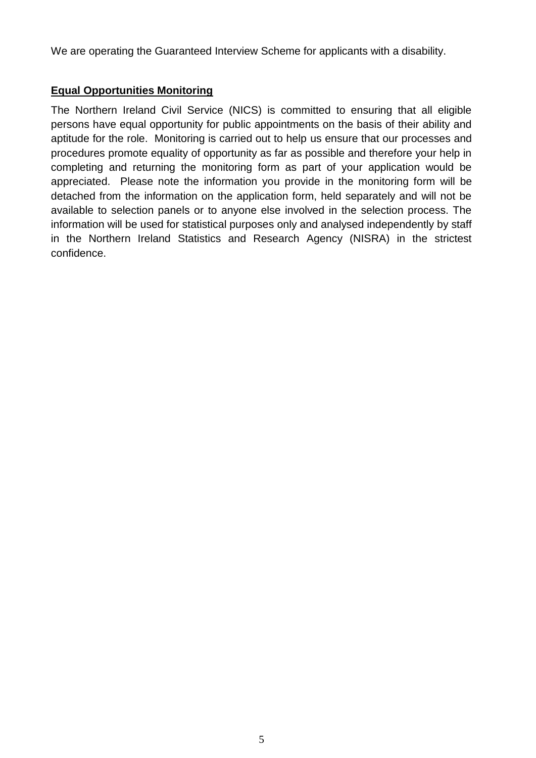We are operating the Guaranteed Interview Scheme for applicants with a disability.

#### **Equal Opportunities Monitoring**

The Northern Ireland Civil Service (NICS) is committed to ensuring that all eligible persons have equal opportunity for public appointments on the basis of their ability and aptitude for the role. Monitoring is carried out to help us ensure that our processes and procedures promote equality of opportunity as far as possible and therefore your help in completing and returning the monitoring form as part of your application would be appreciated. Please note the information you provide in the monitoring form will be detached from the information on the application form, held separately and will not be available to selection panels or to anyone else involved in the selection process. The information will be used for statistical purposes only and analysed independently by staff in the Northern Ireland Statistics and Research Agency (NISRA) in the strictest confidence.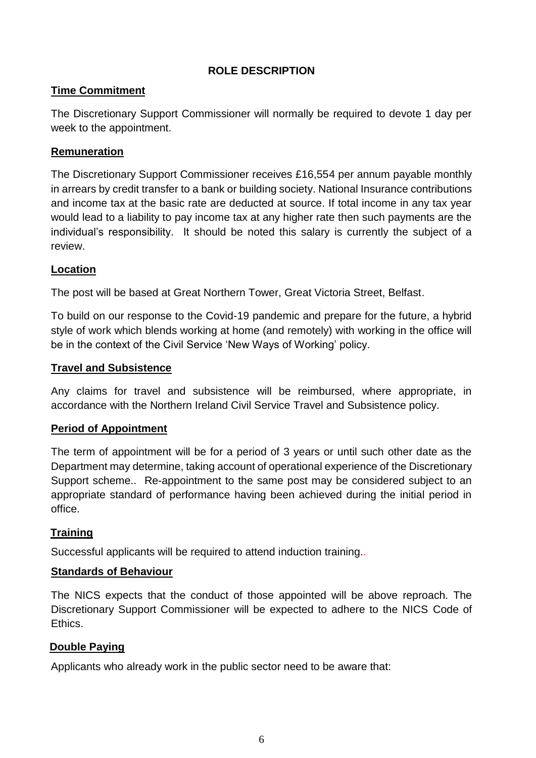#### **ROLE DESCRIPTION**

## **Time Commitment**

The Discretionary Support Commissioner will normally be required to devote 1 day per week to the appointment.

#### **Remuneration**

The Discretionary Support Commissioner receives £16,554 per annum payable monthly in arrears by credit transfer to a bank or building society. National Insurance contributions and income tax at the basic rate are deducted at source. If total income in any tax year would lead to a liability to pay income tax at any higher rate then such payments are the individual's responsibility. It should be noted this salary is currently the subject of a review.

#### **Location**

The post will be based at Great Northern Tower, Great Victoria Street, Belfast.

To build on our response to the Covid-19 pandemic and prepare for the future, a hybrid style of work which blends working at home (and remotely) with working in the office will be in the context of the Civil Service 'New Ways of Working' policy.

#### **Travel and Subsistence**

Any claims for travel and subsistence will be reimbursed, where appropriate, in accordance with the Northern Ireland Civil Service Travel and Subsistence policy.

#### **Period of Appointment**

The term of appointment will be for a period of 3 years or until such other date as the Department may determine, taking account of operational experience of the Discretionary Support scheme.. Re-appointment to the same post may be considered subject to an appropriate standard of performance having been achieved during the initial period in office.

# **Training**

Successful applicants will be required to attend induction training..

#### **Standards of Behaviour**

The NICS expects that the conduct of those appointed will be above reproach. The Discretionary Support Commissioner will be expected to adhere to the NICS [Code of](http://nicscommissioners.org/wp-content/uploads/2011/06/CodeofEthics11.pdf)  [Ethics.](http://nicscommissioners.org/wp-content/uploads/2011/06/CodeofEthics11.pdf)

#### **Double Paying**

Applicants who already work in the public sector need to be aware that: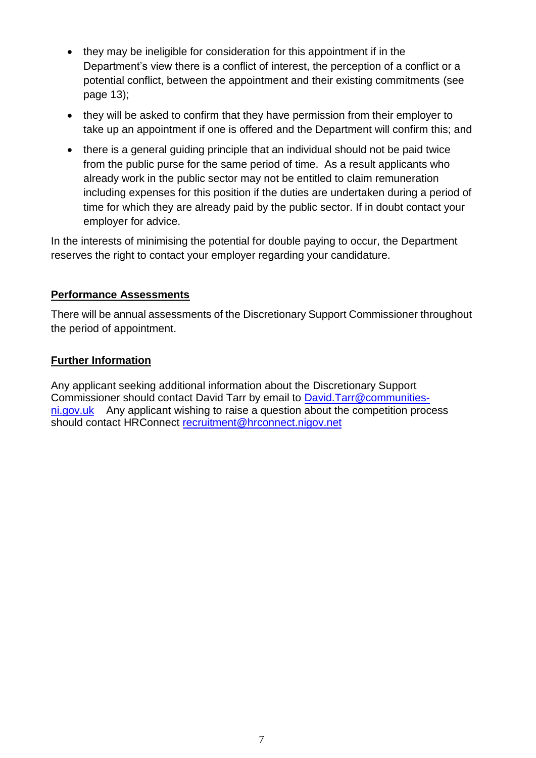- they may be ineligible for consideration for this appointment if in the Department's view there is a conflict of interest, the perception of a conflict or a potential conflict, between the appointment and their existing commitments (see page 13);
- they will be asked to confirm that they have permission from their employer to take up an appointment if one is offered and the Department will confirm this; and
- there is a general guiding principle that an individual should not be paid twice from the public purse for the same period of time. As a result applicants who already work in the public sector may not be entitled to claim remuneration including expenses for this position if the duties are undertaken during a period of time for which they are already paid by the public sector. If in doubt contact your employer for advice.

In the interests of minimising the potential for double paying to occur, the Department reserves the right to contact your employer regarding your candidature.

## **Performance Assessments**

There will be annual assessments of the Discretionary Support Commissioner throughout the period of appointment.

## **Further Information**

Any applicant seeking additional information about the Discretionary Support Commissioner should contact David Tarr by email to [David.Tarr@communities](mailto:David.Tarr@communities-ni.gov.uk)[ni.gov.uk](mailto:David.Tarr@communities-ni.gov.uk) Any applicant wishing to raise a question about the competition process should contact HRConnect [recruitment@hrconnect.nigov.net](mailto:recruitment@hrconnect.nigov.net)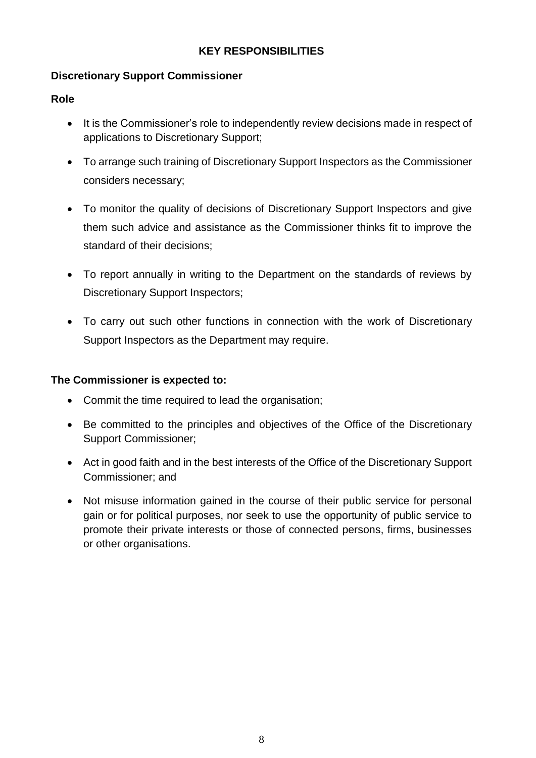## **KEY RESPONSIBILITIES**

### **Discretionary Support Commissioner**

#### **Role**

- It is the Commissioner's role to independently review decisions made in respect of applications to Discretionary Support;
- To arrange such training of Discretionary Support Inspectors as the Commissioner considers necessary;
- To monitor the quality of decisions of Discretionary Support Inspectors and give them such advice and assistance as the Commissioner thinks fit to improve the standard of their decisions;
- To report annually in writing to the Department on the standards of reviews by Discretionary Support Inspectors;
- To carry out such other functions in connection with the work of Discretionary Support Inspectors as the Department may require.

#### **The Commissioner is expected to:**

- Commit the time required to lead the organisation;
- Be committed to the principles and objectives of the Office of the Discretionary Support Commissioner;
- Act in good faith and in the best interests of the Office of the Discretionary Support Commissioner; and
- Not misuse information gained in the course of their public service for personal gain or for political purposes, nor seek to use the opportunity of public service to promote their private interests or those of connected persons, firms, businesses or other organisations.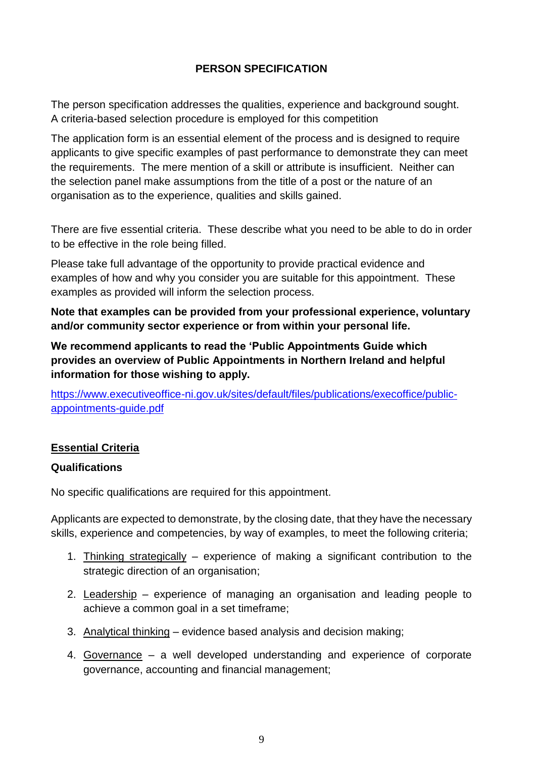# **PERSON SPECIFICATION**

The person specification addresses the qualities, experience and background sought. A criteria-based selection procedure is employed for this competition

The application form is an essential element of the process and is designed to require applicants to give specific examples of past performance to demonstrate they can meet the requirements. The mere mention of a skill or attribute is insufficient. Neither can the selection panel make assumptions from the title of a post or the nature of an organisation as to the experience, qualities and skills gained.

There are five essential criteria. These describe what you need to be able to do in order to be effective in the role being filled.

Please take full advantage of the opportunity to provide practical evidence and examples of how and why you consider you are suitable for this appointment. These examples as provided will inform the selection process.

**Note that examples can be provided from your professional experience, voluntary and/or community sector experience or from within your personal life.**

**We recommend applicants to read the 'Public Appointments Guide which provides an overview of Public Appointments in Northern Ireland and helpful information for those wishing to apply.**

[https://www.executiveoffice-ni.gov.uk/sites/default/files/publications/execoffice/public](https://www.executiveoffice-ni.gov.uk/sites/default/files/publications/execoffice/public-appointments-guide.pdf)[appointments-guide.pdf](https://www.executiveoffice-ni.gov.uk/sites/default/files/publications/execoffice/public-appointments-guide.pdf)

#### **Essential Criteria**

#### **Qualifications**

No specific qualifications are required for this appointment.

Applicants are expected to demonstrate, by the closing date, that they have the necessary skills, experience and competencies, by way of examples, to meet the following criteria;

- 1. Thinking strategically experience of making a significant contribution to the strategic direction of an organisation;
- 2. Leadership experience of managing an organisation and leading people to achieve a common goal in a set timeframe;
- 3. Analytical thinking evidence based analysis and decision making;
- 4. Governance a well developed understanding and experience of corporate governance, accounting and financial management;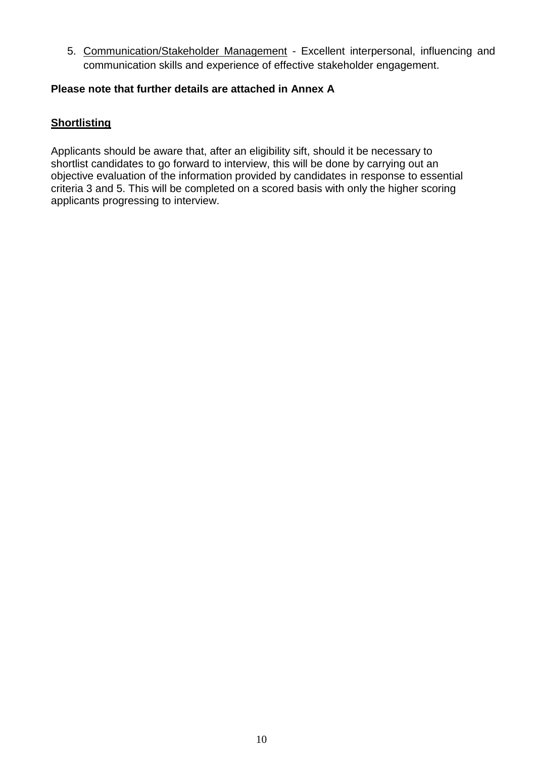5. Communication/Stakeholder Management - Excellent interpersonal, influencing and communication skills and experience of effective stakeholder engagement.

#### **Please note that further details are attached in Annex A**

## **Shortlisting**

Applicants should be aware that, after an eligibility sift, should it be necessary to shortlist candidates to go forward to interview, this will be done by carrying out an objective evaluation of the information provided by candidates in response to essential criteria 3 and 5. This will be completed on a scored basis with only the higher scoring applicants progressing to interview.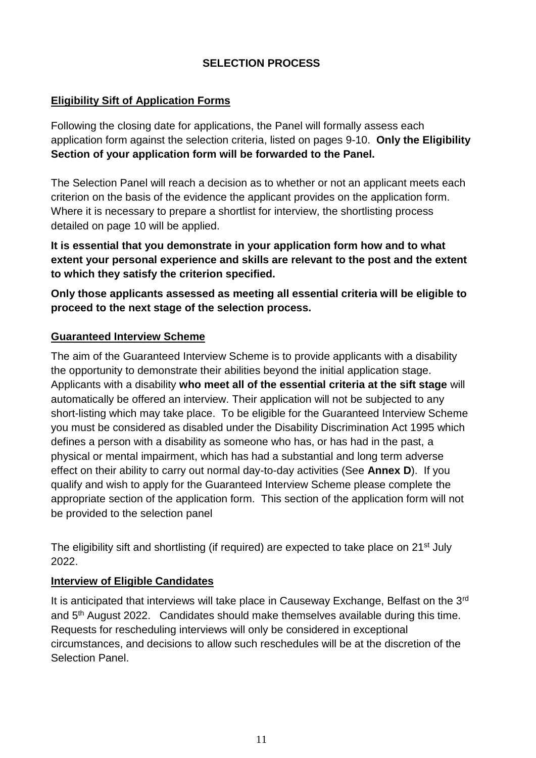## **SELECTION PROCESS**

#### **Eligibility Sift of Application Forms**

Following the closing date for applications, the Panel will formally assess each application form against the selection criteria, listed on pages 9-10. **Only the Eligibility Section of your application form will be forwarded to the Panel.** 

The Selection Panel will reach a decision as to whether or not an applicant meets each criterion on the basis of the evidence the applicant provides on the application form. Where it is necessary to prepare a shortlist for interview, the shortlisting process detailed on page 10 will be applied.

**It is essential that you demonstrate in your application form how and to what extent your personal experience and skills are relevant to the post and the extent to which they satisfy the criterion specified.** 

**Only those applicants assessed as meeting all essential criteria will be eligible to proceed to the next stage of the selection process.**

#### **Guaranteed Interview Scheme**

The aim of the Guaranteed Interview Scheme is to provide applicants with a disability the opportunity to demonstrate their abilities beyond the initial application stage. Applicants with a disability **who meet all of the essential criteria at the sift stage** will automatically be offered an interview. Their application will not be subjected to any short-listing which may take place. To be eligible for the Guaranteed Interview Scheme you must be considered as disabled under the Disability Discrimination Act 1995 which defines a person with a disability as someone who has, or has had in the past, a physical or mental impairment, which has had a substantial and long term adverse effect on their ability to carry out normal day-to-day activities (See **Annex D**). If you qualify and wish to apply for the Guaranteed Interview Scheme please complete the appropriate section of the application form. This section of the application form will not be provided to the selection panel

The eligibility sift and shortlisting (if required) are expected to take place on 21<sup>st</sup> July 2022.

#### **Interview of Eligible Candidates**

It is anticipated that interviews will take place in Causeway Exchange, Belfast on the 3rd and 5th August 2022.Candidates should make themselves available during this time. Requests for rescheduling interviews will only be considered in exceptional circumstances, and decisions to allow such reschedules will be at the discretion of the Selection Panel.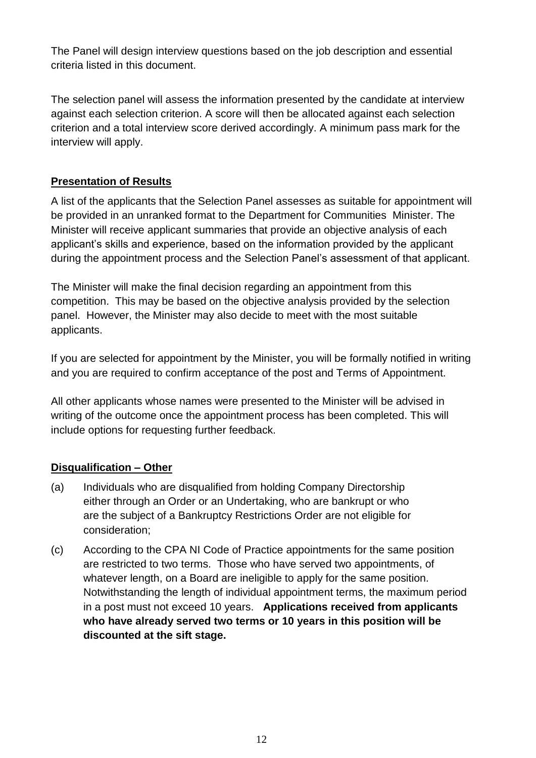The Panel will design interview questions based on the job description and essential criteria listed in this document.

The selection panel will assess the information presented by the candidate at interview against each selection criterion. A score will then be allocated against each selection criterion and a total interview score derived accordingly. A minimum pass mark for the interview will apply.

# **Presentation of Results**

A list of the applicants that the Selection Panel assesses as suitable for appointment will be provided in an unranked format to the Department for Communities Minister. The Minister will receive applicant summaries that provide an objective analysis of each applicant's skills and experience, based on the information provided by the applicant during the appointment process and the Selection Panel's assessment of that applicant.

The Minister will make the final decision regarding an appointment from this competition. This may be based on the objective analysis provided by the selection panel. However, the Minister may also decide to meet with the most suitable applicants.

If you are selected for appointment by the Minister, you will be formally notified in writing and you are required to confirm acceptance of the post and Terms of Appointment.

All other applicants whose names were presented to the Minister will be advised in writing of the outcome once the appointment process has been completed. This will include options for requesting further feedback.

# **Disqualification – Other**

- (a) Individuals who are disqualified from holding Company Directorship either through an Order or an Undertaking, who are bankrupt or who are the subject of a Bankruptcy Restrictions Order are not eligible for consideration;
- (c) According to the CPA NI Code of Practice appointments for the same position are restricted to two terms. Those who have served two appointments, of whatever length, on a Board are ineligible to apply for the same position*.*  Notwithstanding the length of individual appointment terms, the maximum period in a post must not exceed 10 years.**Applications received from applicants who have already served two terms or 10 years in this position will be discounted at the sift stage.**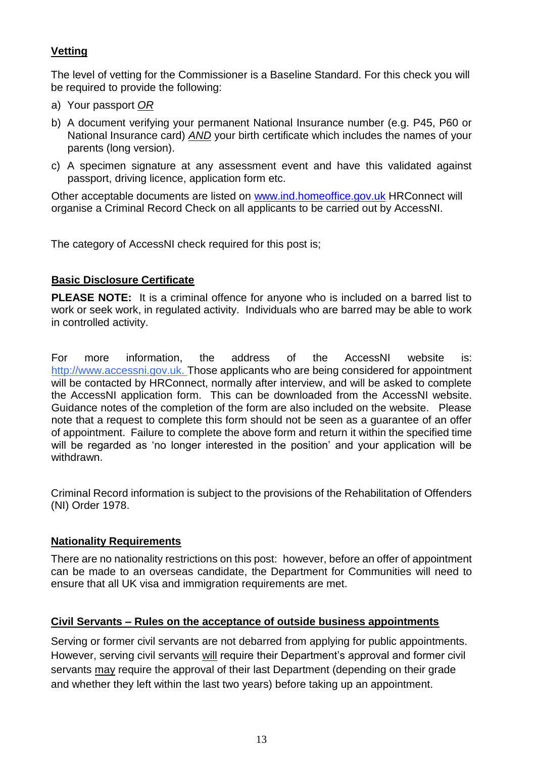# **Vetting**

The level of vetting for the Commissioner is a Baseline Standard. For this check you will be required to provide the following:

- a) Your passport *OR*
- b) A document verifying your permanent National Insurance number (e.g. P45, P60 or National Insurance card) *AND* your birth certificate which includes the names of your parents (long version).
- c) A specimen signature at any assessment event and have this validated against passport, driving licence, application form etc.

Other acceptable documents are listed on [www.ind.homeoffice.gov.uk](http://www.ind.homeoffice.gov.uk/) HRConnect will organise a Criminal Record Check on all applicants to be carried out by AccessNI.

The category of AccessNI check required for this post is;

# **Basic Disclosure Certificate**

**PLEASE NOTE:** It is a criminal offence for anyone who is included on a barred list to work or seek work, in regulated activity. Individuals who are barred may be able to work in controlled activity.

For more information, the address of the AccessNI website is: http://www.accessni.gov.uk. Those applicants who are being considered for appointment will be contacted by HRConnect, normally after interview, and will be asked to complete the AccessNI application form. This can be downloaded from the AccessNI website. Guidance notes of the completion of the form are also included on the website. Please note that a request to complete this form should not be seen as a guarantee of an offer of appointment. Failure to complete the above form and return it within the specified time will be regarded as 'no longer interested in the position' and your application will be withdrawn.

Criminal Record information is subject to the provisions of the Rehabilitation of Offenders (NI) Order 1978.

#### **Nationality Requirements**

There are no nationality restrictions on this post: however, before an offer of appointment can be made to an overseas candidate, the Department for Communities will need to ensure that all UK visa and immigration requirements are met.

#### **Civil Servants – Rules on the acceptance of outside business appointments**

Serving or former civil servants are not debarred from applying for public appointments. However, serving civil servants will require their Department's approval and former civil servants may require the approval of their last Department (depending on their grade and whether they left within the last two years) before taking up an appointment.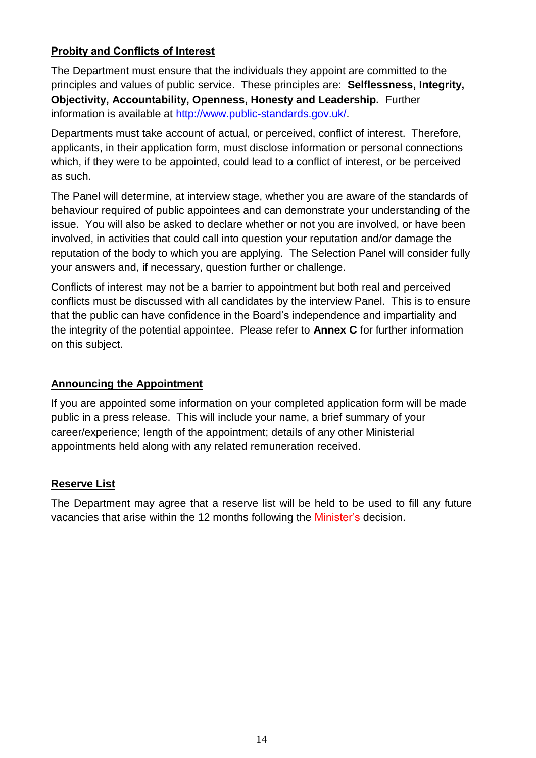# **Probity and Conflicts of Interest**

The Department must ensure that the individuals they appoint are committed to the principles and values of public service. These principles are: **Selflessness, Integrity, Objectivity, Accountability, Openness, Honesty and Leadership.** Further information is available at [http://www.public-standards.gov.uk/.](http://www.public-standards.gov.uk/)

Departments must take account of actual, or perceived, conflict of interest. Therefore, applicants, in their application form, must disclose information or personal connections which, if they were to be appointed, could lead to a conflict of interest, or be perceived as such.

The Panel will determine, at interview stage, whether you are aware of the standards of behaviour required of public appointees and can demonstrate your understanding of the issue. You will also be asked to declare whether or not you are involved, or have been involved, in activities that could call into question your reputation and/or damage the reputation of the body to which you are applying. The Selection Panel will consider fully your answers and, if necessary, question further or challenge.

Conflicts of interest may not be a barrier to appointment but both real and perceived conflicts must be discussed with all candidates by the interview Panel. This is to ensure that the public can have confidence in the Board's independence and impartiality and the integrity of the potential appointee. Please refer to **Annex C** for further information on this subject.

#### **Announcing the Appointment**

If you are appointed some information on your completed application form will be made public in a press release. This will include your name, a brief summary of your career/experience; length of the appointment; details of any other Ministerial appointments held along with any related remuneration received.

#### **Reserve List**

The Department may agree that a reserve list will be held to be used to fill any future vacancies that arise within the 12 months following the Minister's decision.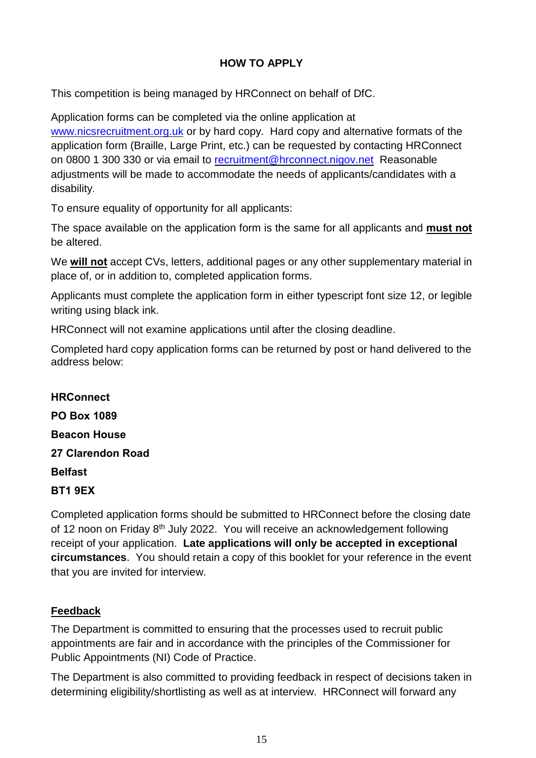# **HOW TO APPLY**

This competition is being managed by HRConnect on behalf of DfC.

Application forms can be completed via the online application at [www.nicsrecruitment.org.uk](http://www.nicsrecruitment.org.uk/) or by hard copy. Hard copy and alternative formats of the application form (Braille, Large Print, etc.) can be requested by contacting HRConnect on 0800 1 300 330 or via email to [recruitment@hrconnect.nigov.net](mailto:recruitment@hrconnect.nigov.net) Reasonable adjustments will be made to accommodate the needs of applicants/candidates with a disability.

To ensure equality of opportunity for all applicants:

The space available on the application form is the same for all applicants and **must not** be altered.

We **will not** accept CVs, letters, additional pages or any other supplementary material in place of, or in addition to, completed application forms.

Applicants must complete the application form in either typescript font size 12, or legible writing using black ink.

HRConnect will not examine applications until after the closing deadline.

Completed hard copy application forms can be returned by post or hand delivered to the address below:

# **HRConnect PO Box 1089 Beacon House 27 Clarendon Road Belfast BT1 9EX**

Completed application forms should be submitted to HRConnect before the closing date of 12 noon on Friday 8<sup>th</sup> July 2022. You will receive an acknowledgement following receipt of your application. **Late applications will only be accepted in exceptional circumstances**. You should retain a copy of this booklet for your reference in the event that you are invited for interview.

#### **Feedback**

The Department is committed to ensuring that the processes used to recruit public appointments are fair and in accordance with the principles of the Commissioner for Public Appointments (NI) Code of Practice.

The Department is also committed to providing feedback in respect of decisions taken in determining eligibility/shortlisting as well as at interview. HRConnect will forward any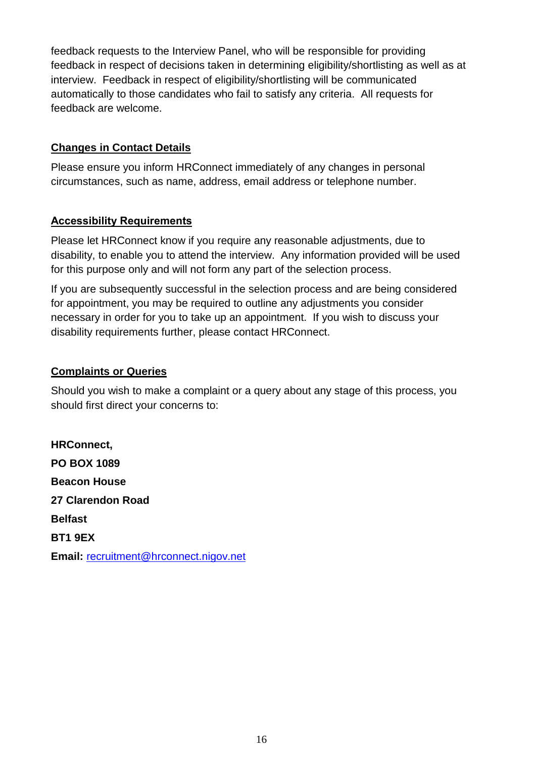feedback requests to the Interview Panel, who will be responsible for providing feedback in respect of decisions taken in determining eligibility/shortlisting as well as at interview. Feedback in respect of eligibility/shortlisting will be communicated automatically to those candidates who fail to satisfy any criteria. All requests for feedback are welcome.

#### **Changes in Contact Details**

Please ensure you inform HRConnect immediately of any changes in personal circumstances, such as name, address, email address or telephone number.

#### **Accessibility Requirements**

Please let HRConnect know if you require any reasonable adjustments, due to disability, to enable you to attend the interview. Any information provided will be used for this purpose only and will not form any part of the selection process.

If you are subsequently successful in the selection process and are being considered for appointment, you may be required to outline any adjustments you consider necessary in order for you to take up an appointment. If you wish to discuss your disability requirements further, please contact HRConnect.

#### **Complaints or Queries**

Should you wish to make a complaint or a query about any stage of this process, you should first direct your concerns to:

**HRConnect, PO BOX 1089 Beacon House 27 Clarendon Road Belfast BT1 9EX Email:** [recruitment@hrconnect.nigov.net](mailto:recruitment@hrconnect.nigov.net)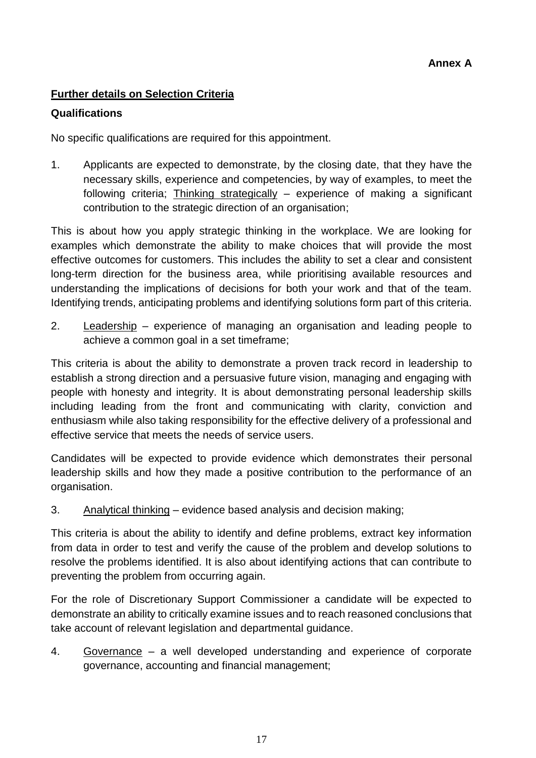#### **Further details on Selection Criteria**

#### **Qualifications**

No specific qualifications are required for this appointment.

1. Applicants are expected to demonstrate, by the closing date, that they have the necessary skills, experience and competencies, by way of examples, to meet the following criteria; Thinking strategically – experience of making a significant contribution to the strategic direction of an organisation;

This is about how you apply strategic thinking in the workplace. We are looking for examples which demonstrate the ability to make choices that will provide the most effective outcomes for customers. This includes the ability to set a clear and consistent long-term direction for the business area, while prioritising available resources and understanding the implications of decisions for both your work and that of the team. Identifying trends, anticipating problems and identifying solutions form part of this criteria.

2. Leadership – experience of managing an organisation and leading people to achieve a common goal in a set timeframe;

This criteria is about the ability to demonstrate a proven track record in leadership to establish a strong direction and a persuasive future vision, managing and engaging with people with honesty and integrity. It is about demonstrating personal leadership skills including leading from the front and communicating with clarity, conviction and enthusiasm while also taking responsibility for the effective delivery of a professional and effective service that meets the needs of service users.

Candidates will be expected to provide evidence which demonstrates their personal leadership skills and how they made a positive contribution to the performance of an organisation.

3. Analytical thinking – evidence based analysis and decision making;

This criteria is about the ability to identify and define problems, extract key information from data in order to test and verify the cause of the problem and develop solutions to resolve the problems identified. It is also about identifying actions that can contribute to preventing the problem from occurring again.

For the role of Discretionary Support Commissioner a candidate will be expected to demonstrate an ability to critically examine issues and to reach reasoned conclusions that take account of relevant legislation and departmental guidance.

4. Governance – a well developed understanding and experience of corporate governance, accounting and financial management;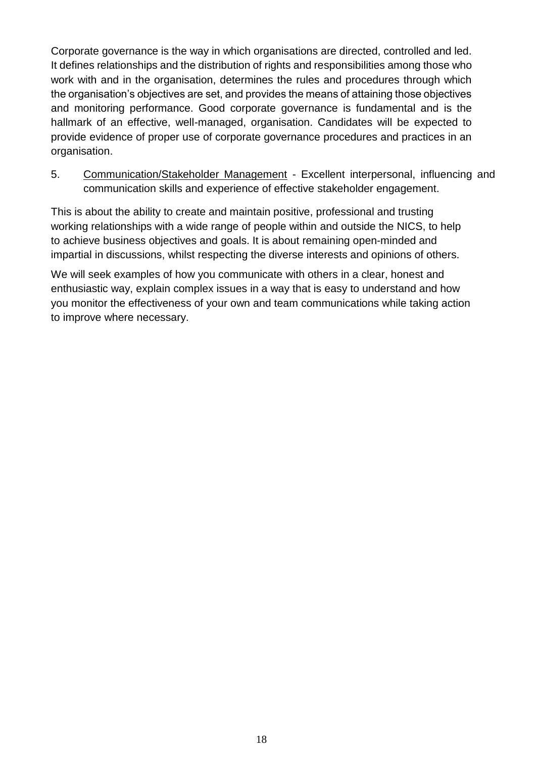Corporate governance is the way in which organisations are directed, controlled and led. It defines relationships and the distribution of rights and responsibilities among those who work with and in the organisation, determines the rules and procedures through which the organisation's objectives are set, and provides the means of attaining those objectives and monitoring performance. Good corporate governance is fundamental and is the hallmark of an effective, well-managed, organisation. Candidates will be expected to provide evidence of proper use of corporate governance procedures and practices in an organisation.

5. Communication/Stakeholder Management - Excellent interpersonal, influencing and communication skills and experience of effective stakeholder engagement.

This is about the ability to create and maintain positive, professional and trusting working relationships with a wide range of people within and outside the NICS, to help to achieve business objectives and goals. It is about remaining open-minded and impartial in discussions, whilst respecting the diverse interests and opinions of others.

We will seek examples of how you communicate with others in a clear, honest and enthusiastic way, explain complex issues in a way that is easy to understand and how you monitor the effectiveness of your own and team communications while taking action to improve where necessary.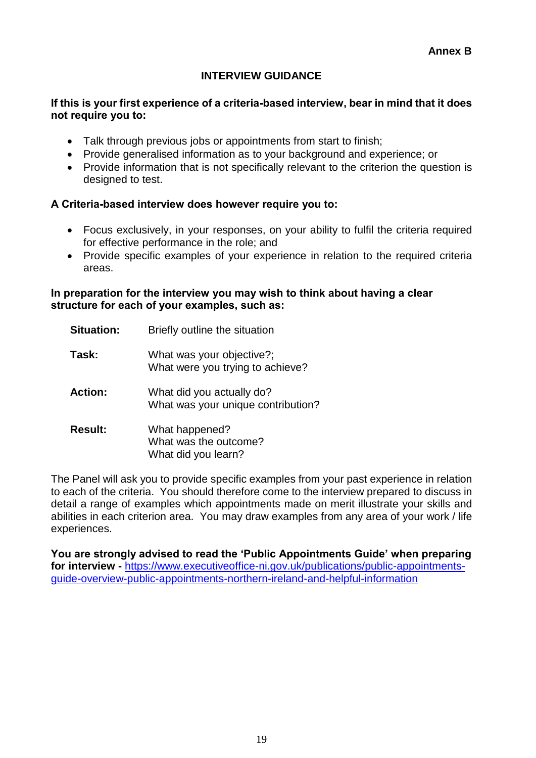#### **INTERVIEW GUIDANCE**

#### **If this is your first experience of a criteria-based interview, bear in mind that it does not require you to:**

- Talk through previous jobs or appointments from start to finish;
- Provide generalised information as to your background and experience; or
- Provide information that is not specifically relevant to the criterion the question is designed to test.

#### **A Criteria-based interview does however require you to:**

- Focus exclusively, in your responses, on your ability to fulfil the criteria required for effective performance in the role; and
- Provide specific examples of your experience in relation to the required criteria areas.

#### **In preparation for the interview you may wish to think about having a clear structure for each of your examples, such as:**

| <b>Situation:</b> | Briefly outline the situation                                   |
|-------------------|-----------------------------------------------------------------|
| Task:             | What was your objective?;<br>What were you trying to achieve?   |
| <b>Action:</b>    | What did you actually do?<br>What was your unique contribution? |
| <b>Result:</b>    | What happened?<br>What was the outcome?<br>What did you learn?  |

The Panel will ask you to provide specific examples from your past experience in relation to each of the criteria. You should therefore come to the interview prepared to discuss in detail a range of examples which appointments made on merit illustrate your skills and abilities in each criterion area. You may draw examples from any area of your work / life experiences.

**You are strongly advised to read the 'Public Appointments Guide' when preparing for interview -** [https://www.executiveoffice-ni.gov.uk/publications/public-appointments](https://www.executiveoffice-ni.gov.uk/publications/public-appointments-guide-overview-public-appointments-northern-ireland-and-helpful-information)[guide-overview-public-appointments-northern-ireland-and-helpful-information](https://www.executiveoffice-ni.gov.uk/publications/public-appointments-guide-overview-public-appointments-northern-ireland-and-helpful-information)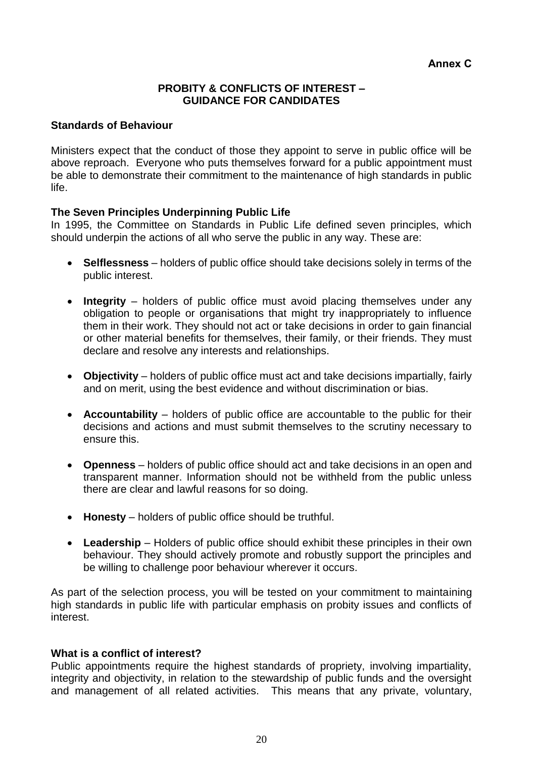#### **PROBITY & CONFLICTS OF INTEREST – GUIDANCE FOR CANDIDATES**

#### **Standards of Behaviour**

Ministers expect that the conduct of those they appoint to serve in public office will be above reproach. Everyone who puts themselves forward for a public appointment must be able to demonstrate their commitment to the maintenance of high standards in public life.

#### **The Seven Principles Underpinning Public Life**

In 1995, the Committee on Standards in Public Life defined seven principles, which should underpin the actions of all who serve the public in any way. These are:

- **Selflessness** holders of public office should take decisions solely in terms of the public interest.
- **Integrity** holders of public office must avoid placing themselves under any obligation to people or organisations that might try inappropriately to influence them in their work. They should not act or take decisions in order to gain financial or other material benefits for themselves, their family, or their friends. They must declare and resolve any interests and relationships.
- **Objectivity** holders of public office must act and take decisions impartially, fairly and on merit, using the best evidence and without discrimination or bias.
- **Accountability** holders of public office are accountable to the public for their decisions and actions and must submit themselves to the scrutiny necessary to ensure this.
- **Openness** holders of public office should act and take decisions in an open and transparent manner. Information should not be withheld from the public unless there are clear and lawful reasons for so doing.
- **Honesty** holders of public office should be truthful.
- **Leadership** Holders of public office should exhibit these principles in their own behaviour. They should actively promote and robustly support the principles and be willing to challenge poor behaviour wherever it occurs.

As part of the selection process, you will be tested on your commitment to maintaining high standards in public life with particular emphasis on probity issues and conflicts of interest.

#### **What is a conflict of interest?**

Public appointments require the highest standards of propriety, involving impartiality, integrity and objectivity, in relation to the stewardship of public funds and the oversight and management of all related activities. This means that any private, voluntary,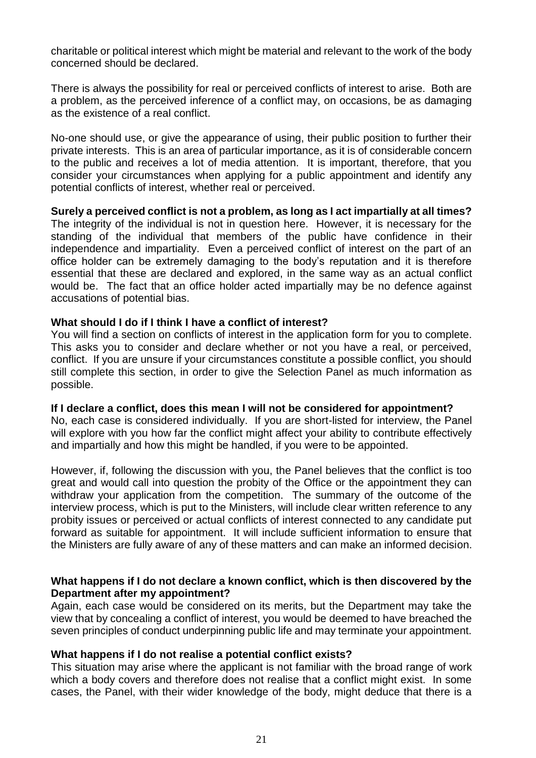charitable or political interest which might be material and relevant to the work of the body concerned should be declared.

There is always the possibility for real or perceived conflicts of interest to arise. Both are a problem, as the perceived inference of a conflict may, on occasions, be as damaging as the existence of a real conflict.

No-one should use, or give the appearance of using, their public position to further their private interests. This is an area of particular importance, as it is of considerable concern to the public and receives a lot of media attention. It is important, therefore, that you consider your circumstances when applying for a public appointment and identify any potential conflicts of interest, whether real or perceived.

#### **Surely a perceived conflict is not a problem, as long as I act impartially at all times?**

The integrity of the individual is not in question here. However, it is necessary for the standing of the individual that members of the public have confidence in their independence and impartiality. Even a perceived conflict of interest on the part of an office holder can be extremely damaging to the body's reputation and it is therefore essential that these are declared and explored, in the same way as an actual conflict would be. The fact that an office holder acted impartially may be no defence against accusations of potential bias.

#### **What should I do if I think I have a conflict of interest?**

You will find a section on conflicts of interest in the application form for you to complete. This asks you to consider and declare whether or not you have a real, or perceived, conflict. If you are unsure if your circumstances constitute a possible conflict, you should still complete this section, in order to give the Selection Panel as much information as possible.

#### **If I declare a conflict, does this mean I will not be considered for appointment?**

No, each case is considered individually. If you are short-listed for interview, the Panel will explore with you how far the conflict might affect your ability to contribute effectively and impartially and how this might be handled, if you were to be appointed.

However, if, following the discussion with you, the Panel believes that the conflict is too great and would call into question the probity of the Office or the appointment they can withdraw your application from the competition. The summary of the outcome of the interview process, which is put to the Ministers, will include clear written reference to any probity issues or perceived or actual conflicts of interest connected to any candidate put forward as suitable for appointment. It will include sufficient information to ensure that the Ministers are fully aware of any of these matters and can make an informed decision.

#### **What happens if I do not declare a known conflict, which is then discovered by the Department after my appointment?**

Again, each case would be considered on its merits, but the Department may take the view that by concealing a conflict of interest, you would be deemed to have breached the seven principles of conduct underpinning public life and may terminate your appointment.

#### **What happens if I do not realise a potential conflict exists?**

This situation may arise where the applicant is not familiar with the broad range of work which a body covers and therefore does not realise that a conflict might exist. In some cases, the Panel, with their wider knowledge of the body, might deduce that there is a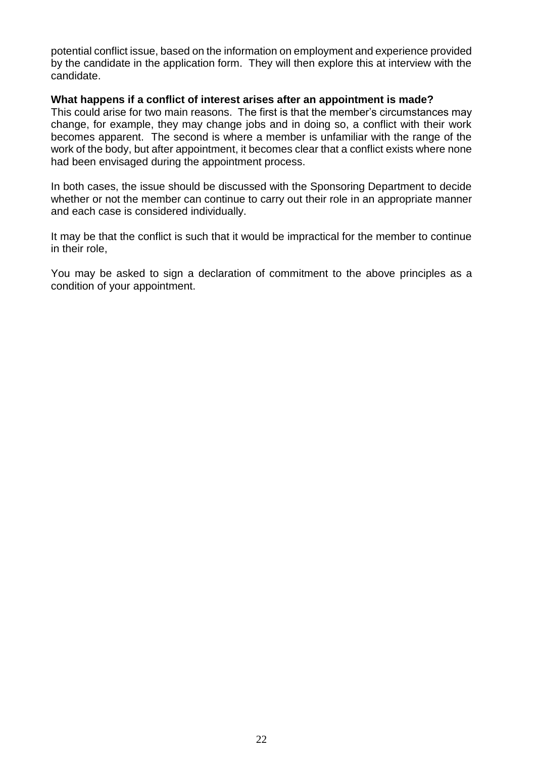potential conflict issue, based on the information on employment and experience provided by the candidate in the application form. They will then explore this at interview with the candidate.

#### **What happens if a conflict of interest arises after an appointment is made?**

This could arise for two main reasons. The first is that the member's circumstances may change, for example, they may change jobs and in doing so, a conflict with their work becomes apparent. The second is where a member is unfamiliar with the range of the work of the body, but after appointment, it becomes clear that a conflict exists where none had been envisaged during the appointment process.

In both cases, the issue should be discussed with the Sponsoring Department to decide whether or not the member can continue to carry out their role in an appropriate manner and each case is considered individually.

It may be that the conflict is such that it would be impractical for the member to continue in their role,

You may be asked to sign a declaration of commitment to the above principles as a condition of your appointment.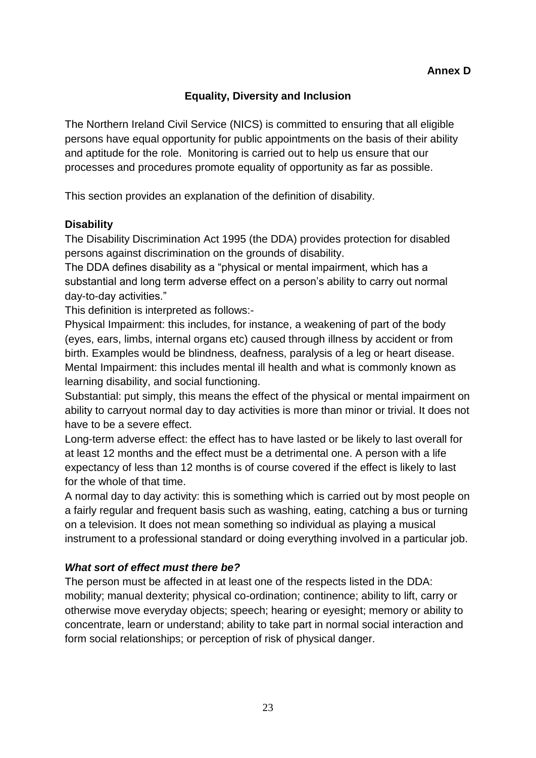#### **Equality, Diversity and Inclusion**

The Northern Ireland Civil Service (NICS) is committed to ensuring that all eligible persons have equal opportunity for public appointments on the basis of their ability and aptitude for the role. Monitoring is carried out to help us ensure that our processes and procedures promote equality of opportunity as far as possible.

This section provides an explanation of the definition of disability.

#### **Disability**

The Disability Discrimination Act 1995 (the DDA) provides protection for disabled persons against discrimination on the grounds of disability.

The DDA defines disability as a "physical or mental impairment, which has a substantial and long term adverse effect on a person's ability to carry out normal day-to-day activities."

This definition is interpreted as follows:-

Physical Impairment: this includes, for instance, a weakening of part of the body (eyes, ears, limbs, internal organs etc) caused through illness by accident or from birth. Examples would be blindness, deafness, paralysis of a leg or heart disease. Mental Impairment: this includes mental ill health and what is commonly known as learning disability, and social functioning.

Substantial: put simply, this means the effect of the physical or mental impairment on ability to carryout normal day to day activities is more than minor or trivial. It does not have to be a severe effect.

Long-term adverse effect: the effect has to have lasted or be likely to last overall for at least 12 months and the effect must be a detrimental one. A person with a life expectancy of less than 12 months is of course covered if the effect is likely to last for the whole of that time.

A normal day to day activity: this is something which is carried out by most people on a fairly regular and frequent basis such as washing, eating, catching a bus or turning on a television. It does not mean something so individual as playing a musical instrument to a professional standard or doing everything involved in a particular job.

#### *What sort of effect must there be?*

The person must be affected in at least one of the respects listed in the DDA: mobility; manual dexterity; physical co-ordination; continence; ability to lift, carry or otherwise move everyday objects; speech; hearing or eyesight; memory or ability to concentrate, learn or understand; ability to take part in normal social interaction and form social relationships; or perception of risk of physical danger.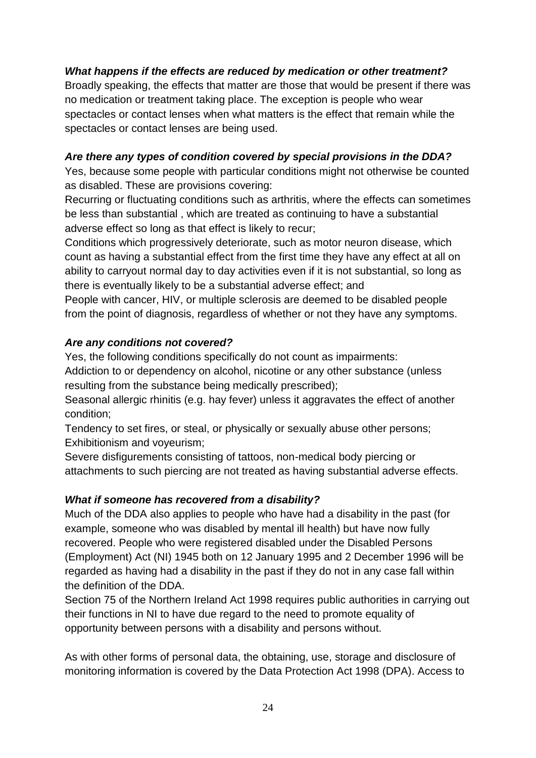#### *What happens if the effects are reduced by medication or other treatment?*

Broadly speaking, the effects that matter are those that would be present if there was no medication or treatment taking place. The exception is people who wear spectacles or contact lenses when what matters is the effect that remain while the spectacles or contact lenses are being used.

## *Are there any types of condition covered by special provisions in the DDA?*

Yes, because some people with particular conditions might not otherwise be counted as disabled. These are provisions covering:

Recurring or fluctuating conditions such as arthritis, where the effects can sometimes be less than substantial , which are treated as continuing to have a substantial adverse effect so long as that effect is likely to recur;

Conditions which progressively deteriorate, such as motor neuron disease, which count as having a substantial effect from the first time they have any effect at all on ability to carryout normal day to day activities even if it is not substantial, so long as there is eventually likely to be a substantial adverse effect; and

People with cancer, HIV, or multiple sclerosis are deemed to be disabled people from the point of diagnosis, regardless of whether or not they have any symptoms.

# *Are any conditions not covered?*

Yes, the following conditions specifically do not count as impairments:

Addiction to or dependency on alcohol, nicotine or any other substance (unless resulting from the substance being medically prescribed);

Seasonal allergic rhinitis (e.g. hay fever) unless it aggravates the effect of another condition;

Tendency to set fires, or steal, or physically or sexually abuse other persons; Exhibitionism and voyeurism;

Severe disfigurements consisting of tattoos, non-medical body piercing or attachments to such piercing are not treated as having substantial adverse effects.

# *What if someone has recovered from a disability?*

Much of the DDA also applies to people who have had a disability in the past (for example, someone who was disabled by mental ill health) but have now fully recovered. People who were registered disabled under the Disabled Persons (Employment) Act (NI) 1945 both on 12 January 1995 and 2 December 1996 will be regarded as having had a disability in the past if they do not in any case fall within the definition of the DDA.

Section 75 of the Northern Ireland Act 1998 requires public authorities in carrying out their functions in NI to have due regard to the need to promote equality of opportunity between persons with a disability and persons without.

As with other forms of personal data, the obtaining, use, storage and disclosure of monitoring information is covered by the Data Protection Act 1998 (DPA). Access to